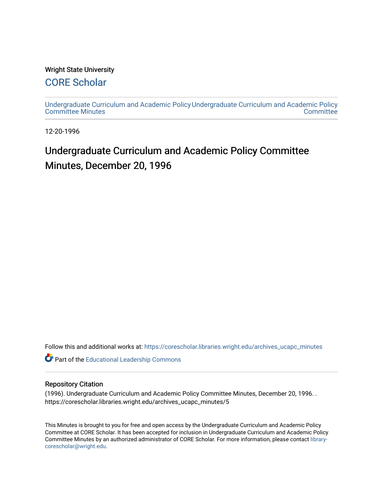#### Wright State University

### [CORE Scholar](https://corescholar.libraries.wright.edu/)

[Undergraduate Curriculum and Academic Policy](https://corescholar.libraries.wright.edu/archives_ucapc_minutes) [Undergraduate Curriculum and Academic Policy](https://corescholar.libraries.wright.edu/archives_ucapc)  [Committee Minutes](https://corescholar.libraries.wright.edu/archives_ucapc_minutes) **Committee** 

12-20-1996

## Undergraduate Curriculum and Academic Policy Committee Minutes, December 20, 1996

Follow this and additional works at: [https://corescholar.libraries.wright.edu/archives\\_ucapc\\_minutes](https://corescholar.libraries.wright.edu/archives_ucapc_minutes?utm_source=corescholar.libraries.wright.edu%2Farchives_ucapc_minutes%2F5&utm_medium=PDF&utm_campaign=PDFCoverPages) 

Part of the [Educational Leadership Commons](http://network.bepress.com/hgg/discipline/1230?utm_source=corescholar.libraries.wright.edu%2Farchives_ucapc_minutes%2F5&utm_medium=PDF&utm_campaign=PDFCoverPages) 

#### Repository Citation

(1996). Undergraduate Curriculum and Academic Policy Committee Minutes, December 20, 1996. . https://corescholar.libraries.wright.edu/archives\_ucapc\_minutes/5

This Minutes is brought to you for free and open access by the Undergraduate Curriculum and Academic Policy Committee at CORE Scholar. It has been accepted for inclusion in Undergraduate Curriculum and Academic Policy Committee Minutes by an authorized administrator of CORE Scholar. For more information, please contact [library](mailto:library-corescholar@wright.edu)[corescholar@wright.edu](mailto:library-corescholar@wright.edu).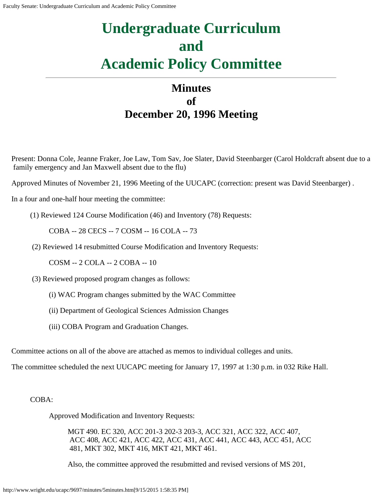# **Undergraduate Curriculum and Academic Policy Committee**

## **Minutes of December 20, 1996 Meeting**

Present: Donna Cole, Jeanne Fraker, Joe Law, Tom Sav, Joe Slater, David Steenbarger (Carol Holdcraft absent due to a family emergency and Jan Maxwell absent due to the flu)

Approved Minutes of November 21, 1996 Meeting of the UUCAPC (correction: present was David Steenbarger) .

In a four and one-half hour meeting the committee:

(1) Reviewed 124 Course Modification (46) and Inventory (78) Requests:

COBA -- 28 CECS -- 7 COSM -- 16 COLA -- 73

(2) Reviewed 14 resubmitted Course Modification and Inventory Requests:

COSM -- 2 COLA -- 2 COBA -- 10

(3) Reviewed proposed program changes as follows:

(i) WAC Program changes submitted by the WAC Committee

(ii) Department of Geological Sciences Admission Changes

(iii) COBA Program and Graduation Changes.

Committee actions on all of the above are attached as memos to individual colleges and units.

The committee scheduled the next UUCAPC meeting for January 17, 1997 at 1:30 p.m. in 032 Rike Hall.

#### COBA:

Approved Modification and Inventory Requests:

MGT 490. EC 320, ACC 201-3 202-3 203-3, ACC 321, ACC 322, ACC 407, ACC 408, ACC 421, ACC 422, ACC 431, ACC 441, ACC 443, ACC 451, ACC 481, MKT 302, MKT 416, MKT 421, MKT 461.

Also, the committee approved the resubmitted and revised versions of MS 201,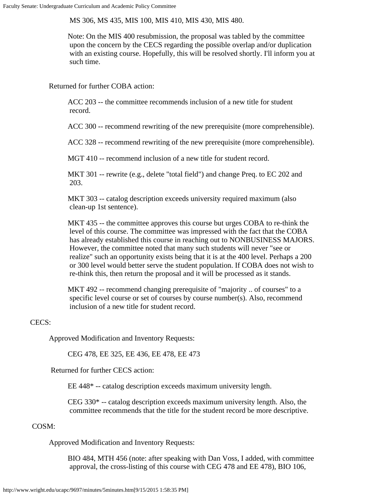MS 306, MS 435, MIS 100, MIS 410, MIS 430, MIS 480.

Note: On the MIS 400 resubmission, the proposal was tabled by the committee upon the concern by the CECS regarding the possible overlap and/or duplication with an existing course. Hopefully, this will be resolved shortly. I'll inform you at such time.

Returned for further COBA action:

ACC 203 -- the committee recommends inclusion of a new title for student record.

ACC 300 -- recommend rewriting of the new prerequisite (more comprehensible).

ACC 328 -- recommend rewriting of the new prerequisite (more comprehensible).

MGT 410 -- recommend inclusion of a new title for student record.

MKT 301 -- rewrite (e.g., delete "total field") and change Preq. to EC 202 and 203.

MKT 303 -- catalog description exceeds university required maximum (also clean-up 1st sentence).

MKT 435 -- the committee approves this course but urges COBA to re-think the level of this course. The committee was impressed with the fact that the COBA has already established this course in reaching out to NONBUSINESS MAJORS. However, the committee noted that many such students will never "see or realize" such an opportunity exists being that it is at the 400 level. Perhaps a 200 or 300 level would better serve the student population. If COBA does not wish to re-think this, then return the proposal and it will be processed as it stands.

MKT 492 -- recommend changing prerequisite of "majority .. of courses" to a specific level course or set of courses by course number(s). Also, recommend inclusion of a new title for student record.

#### CECS:

Approved Modification and Inventory Requests:

CEG 478, EE 325, EE 436, EE 478, EE 473

Returned for further CECS action:

EE 448\* -- catalog description exceeds maximum university length.

CEG 330\* -- catalog description exceeds maximum university length. Also, the committee recommends that the title for the student record be more descriptive.

#### COSM:

Approved Modification and Inventory Requests:

BIO 484, MTH 456 (note: after speaking with Dan Voss, I added, with committee approval, the cross-listing of this course with CEG 478 and EE 478), BIO 106,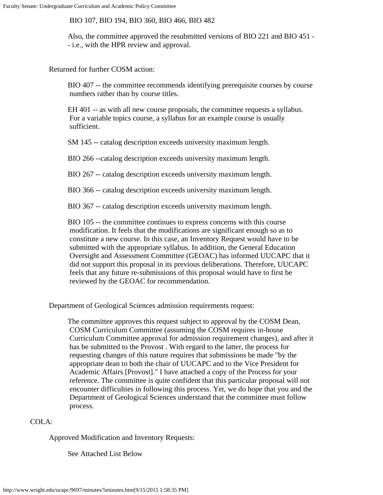BIO 107, BIO 194, BIO 360, BIO 466, BIO 482

Also, the committee approved the resubmitted versions of BIO 221 and BIO 451 - - i.e., with the HPR review and approval.

Returned for further COSM action:

BIO 407 -- the committee recommends identifying prerequisite courses by course numbers rather than by course titles.

EH 401 -- as with all new course proposals, the committee requests a syllabus. For a variable topics course, a syllabus for an example course is usually sufficient.

SM 145 -- catalog description exceeds university maximum length.

BIO 266 --catalog description exceeds university maximum length.

BIO 267 -- catalog description exceeds university maximum length.

BIO 366 -- catalog description exceeds university maximum length.

BIO 367 -- catalog description exceeds university maximum length.

BIO 105 -- the committee continues to express concerns with this course modification. It feels that the modifications are significant enough so as to constitute a new course. In this case, an Inventory Request would have to be submitted with the appropriate syllabus. In addition, the General Education Oversight and Assessment Committee (GEOAC) has informed UUCAPC that it did not support this proposal in its previous deliberations. Therefore, UUCAPC feels that any future re-submissions of this proposal would have to first be reviewed by the GEOAC for recommendation.

Department of Geological Sciences admission requirements request:

The committee approves this request subject to approval by the COSM Dean, COSM Curriculum Committee (assuming the COSM requires in-house Curriculum Committee approval for admission requirement changes), and after it has be submitted to the Provost . With regard to the latter, the process for requesting changes of this nature requires that submissions be made "by the appropriate dean to both the chair of UUCAPC and to the Vice President for Academic Affairs [Provost]." I have attached a copy of the Process for your reference. The committee is quite confident that this particular proposal will not encounter difficulties in following this process. Yet, we do hope that you and the Department of Geological Sciences understand that the committee must follow process.

#### COLA:

Approved Modification and Inventory Requests:

See Attached List Below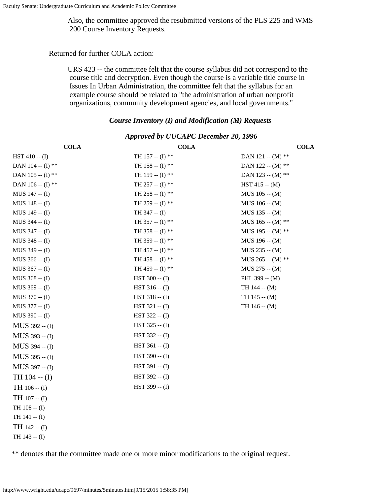Also, the committee approved the resubmitted versions of the PLS 225 and WMS 200 Course Inventory Requests.

Returned for further COLA action:

URS 423 -- the committee felt that the course syllabus did not correspond to the course title and decryption. Even though the course is a variable title course in Issues In Urban Administration, the committee felt that the syllabus for an example course should be related to "the administration of urban nonprofit organizations, community development agencies, and local governments."

#### *Course Inventory (I) and Modification (M) Requests*

| <b>COLA</b>       | <b>COLA</b>        | <b>COLA</b>         |
|-------------------|--------------------|---------------------|
| HST 410 -- (I)    | TH 157 -- $(I)$ ** | DAN 121 -- (M) **   |
| DAN 104 -- (I) ** | TH 158 -- (I) **   | DAN 122 -- (M) **   |
| DAN 105 -- (I) ** | TH 159 -- $(I)$ ** | DAN 123 -- (M) $**$ |
| DAN 106 -- (I) ** | TH 257 -- $(I)$ ** | $HST 415 - (M)$     |
| MUS 147 -- (I)    | TH 258 -- (I) **   | $MUS 105 - (M)$     |
| MUS 148 -- (I)    | TH 259 -- $(I)$ ** | $MUS 106 - (M)$     |
| MUS 149 -- (I)    | $TH$ 347 -- (I)    | $MUS$ 135 -- $(M)$  |
| MUS 344 -- (I)    | TH 357 -- $(I)$ ** | MUS 165 -- (M) $**$ |
| MUS 347 -- (I)    | TH 358 -- $(I)$ ** | MUS 195 -- $(M)$ ** |
| MUS 348 -- (I)    | TH 359 -- $(I)$ ** | $MUS$ 196 -- $(M)$  |
| MUS 349 -- (I)    | TH 457 -- $(I)$ ** | $MUS 235 - (M)$     |
| MUS 366 -- (I)    | TH 458 -- (I) **   | MUS 265 -- (M) **   |
| MUS 367 -- (I)    | TH 459 -- (I) **   | $MUS 275 - (M)$     |
| MUS 368 -- (I)    | $HST 300 - (I)$    | PHL $399 - (M)$     |
| MUS 369 -- (I)    | $HST 316 - (I)$    | $TH$ 144 -- $(M)$   |
| $MUS 370 - (I)$   | $HST 318 - (I)$    | $TH$ 145 -- $(M)$   |
| MUS 377 -- (I)    | $HST 321 - (I)$    | TH $146 - (M)$      |
| MUS 390 -- (I)    | $HST 322 - (I)$    |                     |
| MUS 392 -- (I)    | $HST 325 - (I)$    |                     |
| MUS 393 -- (I)    | $HST 332 - (I)$    |                     |
| MUS 394 -- (I)    | $HST 361 - (I)$    |                     |
| MUS 395 -- (I)    | $HST 390 - (I)$    |                     |
| MUS 397 -- (I)    | $HST 391 - (I)$    |                     |
| TH 104 -- (I)     | $HST 392 - (I)$    |                     |
| TH 106 -- (I)     | $HST 399 - (I)$    |                     |
| $TH$ 107 -- (I)   |                    |                     |
| TH $108 - (I)$    |                    |                     |
| TH 141 -- (I)     |                    |                     |
| TH 142 -- (I)     |                    |                     |
| TH 143 -- (I)     |                    |                     |

*Approved by UUCAPC December 20, 1996*

\*\* denotes that the committee made one or more minor modifications to the original request.